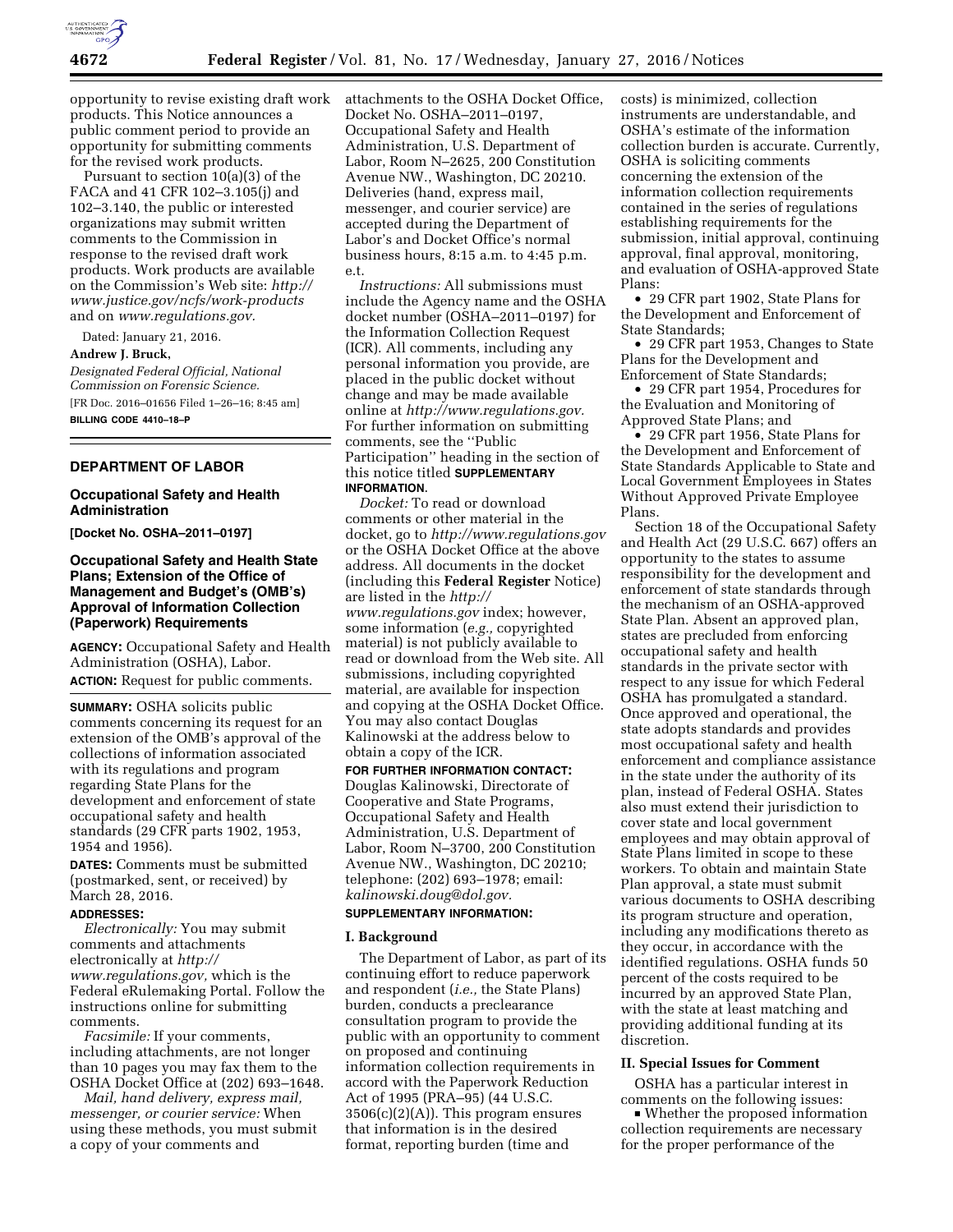

opportunity to revise existing draft work products. This Notice announces a public comment period to provide an opportunity for submitting comments for the revised work products.

Pursuant to section 10(a)(3) of the FACA and 41 CFR 102–3.105(j) and 102–3.140, the public or interested organizations may submit written comments to the Commission in response to the revised draft work products. Work products are available on the Commission's Web site: *[http://](http://www.justice.gov/ncfs/work-products) [www.justice.gov/ncfs/work-products](http://www.justice.gov/ncfs/work-products)*  and on *[www.regulations.gov.](http://www.regulations.gov)* 

Dated: January 21, 2016. **Andrew J. Bruck,**  *Designated Federal Official, National Commission on Forensic Science.*  [FR Doc. 2016–01656 Filed 1–26–16; 8:45 am] **BILLING CODE 4410–18–P** 

# **DEPARTMENT OF LABOR**

# **Occupational Safety and Health Administration**

**[Docket No. OSHA–2011–0197]** 

# **Occupational Safety and Health State Plans; Extension of the Office of Management and Budget's (OMB's) Approval of Information Collection (Paperwork) Requirements**

**AGENCY:** Occupational Safety and Health Administration (OSHA), Labor. **ACTION:** Request for public comments.

**SUMMARY:** OSHA solicits public comments concerning its request for an extension of the OMB's approval of the collections of information associated with its regulations and program regarding State Plans for the development and enforcement of state occupational safety and health standards (29 CFR parts 1902, 1953, 1954 and 1956).

**DATES:** Comments must be submitted (postmarked, sent, or received) by March 28, 2016.

# **ADDRESSES:**

*Electronically:* You may submit comments and attachments electronically at *[http://](http://www.regulations.gov) [www.regulations.gov,](http://www.regulations.gov)* which is the Federal eRulemaking Portal. Follow the instructions online for submitting comments.

*Facsimile:* If your comments, including attachments, are not longer than 10 pages you may fax them to the OSHA Docket Office at (202) 693–1648.

*Mail, hand delivery, express mail, messenger, or courier service:* When using these methods, you must submit a copy of your comments and

attachments to the OSHA Docket Office, Docket No. OSHA–2011–0197, Occupational Safety and Health Administration, U.S. Department of Labor, Room N–2625, 200 Constitution Avenue NW., Washington, DC 20210. Deliveries (hand, express mail, messenger, and courier service) are accepted during the Department of Labor's and Docket Office's normal business hours, 8:15 a.m. to 4:45 p.m. e.t.

*Instructions:* All submissions must include the Agency name and the OSHA docket number (OSHA–2011–0197) for the Information Collection Request (ICR). All comments, including any personal information you provide, are placed in the public docket without change and may be made available online at *[http://www.regulations.gov.](http://www.regulations.gov)*  For further information on submitting comments, see the ''Public Participation'' heading in the section of this notice titled **SUPPLEMENTARY INFORMATION**.

*Docket:* To read or download comments or other material in the docket, go to *<http://www.regulations.gov>*  or the OSHA Docket Office at the above address. All documents in the docket (including this **Federal Register** Notice) are listed in the *[http://](http://www.regulations.gov) [www.regulations.gov](http://www.regulations.gov)* index; however, some information (*e.g.,* copyrighted material) is not publicly available to read or download from the Web site. All submissions, including copyrighted material, are available for inspection and copying at the OSHA Docket Office. You may also contact Douglas Kalinowski at the address below to obtain a copy of the ICR.

**FOR FURTHER INFORMATION CONTACT:**  Douglas Kalinowski, Directorate of Cooperative and State Programs, Occupational Safety and Health Administration, U.S. Department of Labor, Room N–3700, 200 Constitution Avenue NW., Washington, DC 20210; telephone: (202) 693–1978; email: *[kalinowski.doug@dol.gov.](mailto:kalinowski.doug@dol.gov)* 

# **SUPPLEMENTARY INFORMATION:**

#### **I. Background**

The Department of Labor, as part of its continuing effort to reduce paperwork and respondent (*i.e.,* the State Plans) burden, conducts a preclearance consultation program to provide the public with an opportunity to comment on proposed and continuing information collection requirements in accord with the Paperwork Reduction Act of 1995 (PRA–95) (44 U.S.C.  $3506(c)(2)(A)$ . This program ensures that information is in the desired format, reporting burden (time and

costs) is minimized, collection instruments are understandable, and OSHA's estimate of the information collection burden is accurate. Currently, OSHA is soliciting comments concerning the extension of the information collection requirements contained in the series of regulations establishing requirements for the submission, initial approval, continuing approval, final approval, monitoring, and evaluation of OSHA-approved State Plans:

• 29 CFR part 1902, State Plans for the Development and Enforcement of State Standards;

• 29 CFR part 1953, Changes to State Plans for the Development and Enforcement of State Standards;

• 29 CFR part 1954, Procedures for the Evaluation and Monitoring of Approved State Plans; and

• 29 CFR part 1956, State Plans for the Development and Enforcement of State Standards Applicable to State and Local Government Employees in States Without Approved Private Employee Plans.

Section 18 of the Occupational Safety and Health Act (29 U.S.C. 667) offers an opportunity to the states to assume responsibility for the development and enforcement of state standards through the mechanism of an OSHA-approved State Plan. Absent an approved plan, states are precluded from enforcing occupational safety and health standards in the private sector with respect to any issue for which Federal OSHA has promulgated a standard. Once approved and operational, the state adopts standards and provides most occupational safety and health enforcement and compliance assistance in the state under the authority of its plan, instead of Federal OSHA. States also must extend their jurisdiction to cover state and local government employees and may obtain approval of State Plans limited in scope to these workers. To obtain and maintain State Plan approval, a state must submit various documents to OSHA describing its program structure and operation, including any modifications thereto as they occur, in accordance with the identified regulations. OSHA funds 50 percent of the costs required to be incurred by an approved State Plan, with the state at least matching and providing additional funding at its discretion.

#### **II. Special Issues for Comment**

OSHA has a particular interest in comments on the following issues:

 $\bullet$  Whether the proposed information collection requirements are necessary for the proper performance of the